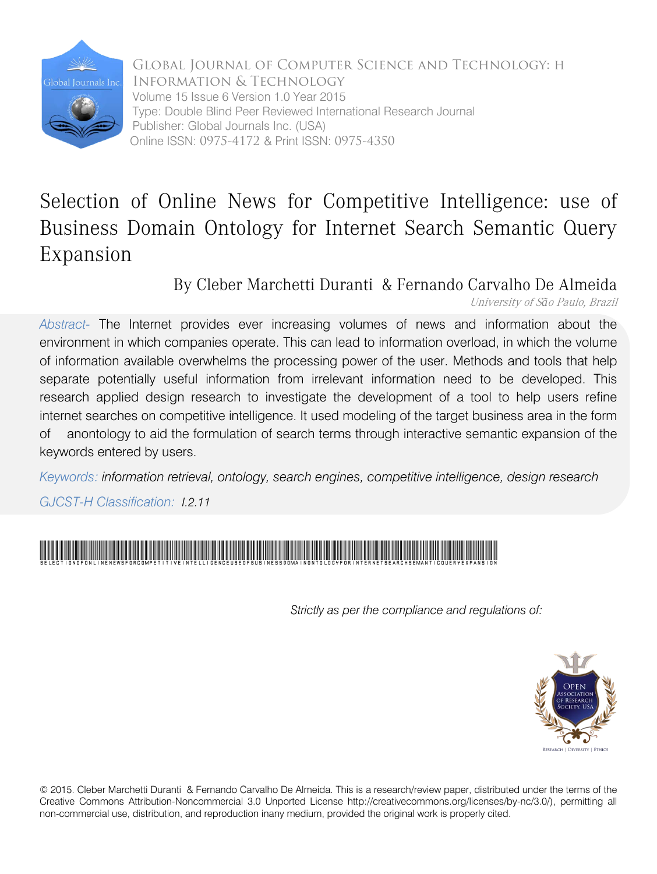

Global Journal of Computer Science and Technology: H Information & Technology Volume 15 Issue 6 Version 1.0 Year 2015 Type: Double Blind Peer Reviewed International Research Journal Publisher: Global Journals Inc. (USA) Online ISSN: 0975-4172 & Print ISSN: 0975-4350

## Selection of Online News for Competitive Intelligence: use of Business Domain Ontology for Internet Search Semantic Query Expansion

By Cleber Marchetti Duranti & Fernando Carvalho De Almeida

University of <sup>S</sup>*ã*o Paulo, Brazil

*Abstract-* The Internet provides ever increasing volumes of news and information about the environment in which companies operate. This can lead to information overload, in which the volume of information available overwhelms the processing power of the user. Methods and tools that help separate potentially useful information from irrelevant information need to be developed. This research applied design research to investigate the development of a tool to help users refine internet searches on competitive intelligence. It used modeling of the target business area in the form of anontology to aid the formulation of search terms through interactive semantic expansion of the keywords entered by users.

*Keywords: information retrieval, ontology, search engines, competitive intelligence, design research*

*GJCST-H Classification: I.2.11*



*Strictly as per the compliance and regulations of:*



© 2015. Cleber Marchetti Duranti & Fernando Carvalho De Almeida. This is a research/review paper, distributed under the terms of the Creative Commons Attribution-Noncommercial 3.0 Unported License http://creativecommons.org/licenses/by-nc/3.0/), permitting all non-commercial use, distribution, and reproduction inany medium, provided the original work is properly cited.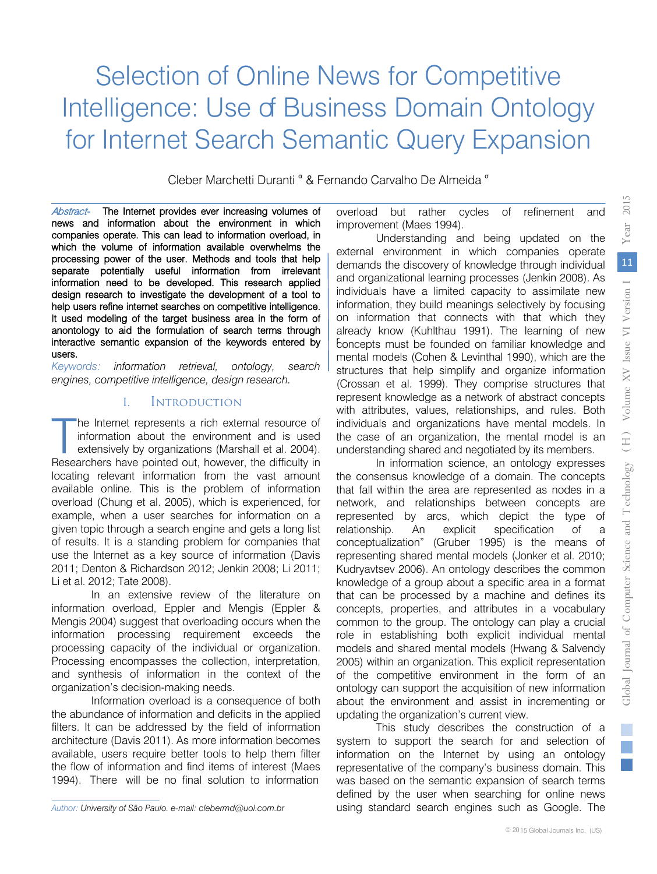## Selection of Online News for Competitive Intelligence: Use of Business Domain Ontology for Internet Search Semantic Query Expansion

Cleber Marchetti Duranti <sup>α</sup> & Fernando Carvalho De Almeida<sup>o</sup>

Abstract- The Internet provides ever increasing volumes of news and information about the environment in which companies operate. This can lead to information overload, in which the volume of information available overwhelms the processing power of the user. Methods and tools that help separate potentially useful information from irrelevant information need to be developed. This research applied design research to investigate the development of a tool to help users refine internet searches on competitive intelligence. It used modeling of the target business area in the form of anontology to aid the formulation of search terms through interactive semantic expansion of the keywords entered by users.

*Keywords: information retrieval, ontology, search engines, competitive intelligence, design research.*

#### I. Introduction

he Internet represents a rich external resource of information about the environment and is used extensively by organizations (Marshall et al. 2004). The Internet represents a rich external resource of information about the environment and is used extensively by organizations (Marshall et al. 2004).<br>Researchers have pointed out, however, the difficulty in locating relevant information from the vast amount available online. This is the problem of information overload (Chung et al. 2005), which is experienced, for example, when a user searches for information on a given topic through a search engine and gets a long list of results. It is a standing problem for companies that use the Internet as a key source of information (Davis 2011; Denton & Richardson 2012; Jenkin 2008; Li 2011; Li et al. 2012; Tate 2008).

In an extensive review of the literature on information overload, Eppler and Mengis (Eppler & Mengis 2004) suggest that overloading occurs when the information processing requirement exceeds the processing capacity of the individual or organization. Processing encompasses the collection, interpretation, and synthesis of information in the context of the organization's decision-making needs.

Information overload is a consequence of both the abundance of information and deficits in the applied filters. It can be addressed by the field of information architecture (Davis 2011). As more information becomes available, users require better tools to help them filter the flow of information and find items of interest (Maes 1994). There will be no final solution to information

overload but rather cycles of refinement and improvement (Maes 1994).

Understanding and being updated on the external environment in which companies operate demands the discovery of knowledge through individual and organizational learning processes (Jenkin 2008). As individuals have a limited capacity to assimilate new information, they build meanings selectively by focusing on information that connects with that which they already know (Kuhlthau 1991). The learning of new boncepts must be founded on familiar knowledge and mental models (Cohen & Levinthal 1990), which are the structures that help simplify and organize information (Crossan et al. 1999). They comprise structures that represent knowledge as a network of abstract concepts with attributes, values, relationships, and rules. Both individuals and organizations have mental models. In the case of an organization, the mental model is an understanding shared and negotiated by its members.

In information science, an ontology expresses the consensus knowledge of a domain. The concepts that fall within the area are represented as nodes in a network, and relationships between concepts are represented by arcs, which depict the type of relationship. An explicit specification of a conceptualization" (Gruber 1995) is the means of representing shared mental models (Jonker et al. 2010; Kudryavtsev 2006). An ontology describes the common knowledge of a group about a specific area in a format that can be processed by a machine and defines its concepts, properties, and attributes in a vocabulary common to the group. The ontology can play a crucial role in establishing both explicit individual mental models and shared mental models (Hwang & Salvendy 2005) within an organization. This explicit representation of the competitive environment in the form of an ontology can support the acquisition of new information about the environment and assist in incrementing or updating the organization's current view.

This study describes the construction of a system to support the search for and selection of information on the Internet by using an ontology representative of the company's business domain. This was based on the semantic expansion of search terms defined by the user when searching for online news using standard search engines such as Google. The

*Author: University of São Paulo. e-mail: clebermd@uol.com.br*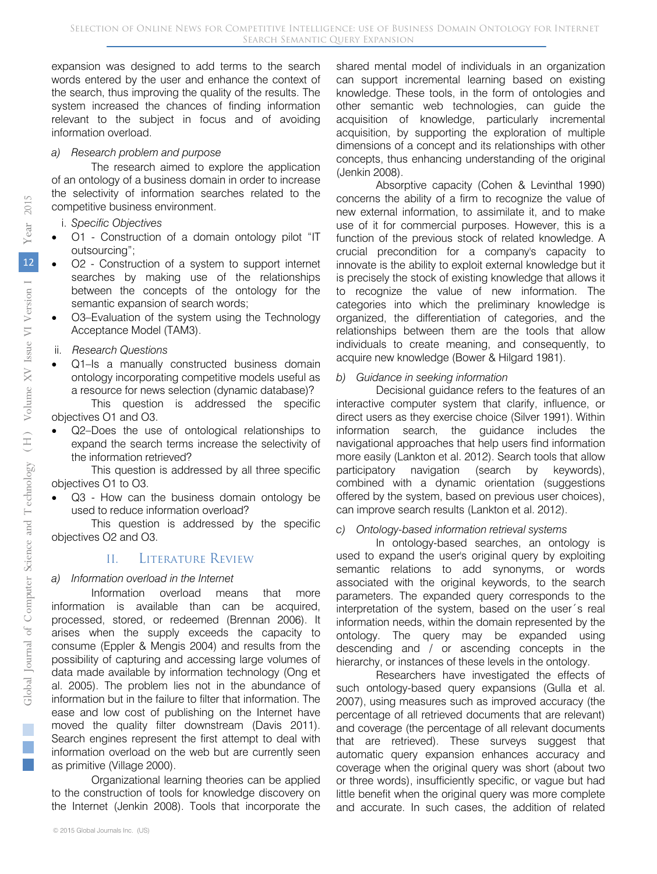expansion was designed to add terms to the search words entered by the user and enhance the context of the search, thus improving the quality of the results. The system increased the chances of finding information relevant to the subject in focus and of avoiding information overload.

#### *a) Research problem and purpose*

The research aimed to explore the application of an ontology of a business domain in order to increase the selectivity of information searches related to the competitive business environment.

- i. *Specific Objectives*
- O1 Construction of a domain ontology pilot "IT outsourcing";
- O2 Construction of a system to support internet searches by making use of the relationships between the concepts of the ontology for the semantic expansion of search words;
- O3–Evaluation of the system using the Technology Acceptance Model (TAM3).
- ii. *Research Questions*
- Q1–Is a manually constructed business domain ontology incorporating competitive models useful as a resource for news selection (dynamic database)?

This question is addressed the specific objectives O1 and O3.

Q2-Does the use of ontological relationships to expand the search terms increase the selectivity of the information retrieved?

This question is addressed by all three specific objectives O1 to O3.

Q3 - How can the business domain ontology be used to reduce information overload?

This question is addressed by the specific objectives O2 and O3.

## II. Literature Review

## *a) Information overload in the Internet*

Information overload means that more information is available than can be acquired, processed, stored, or redeemed (Brennan 2006). It arises when the supply exceeds the capacity to consume (Eppler & Mengis 2004) and results from the possibility of capturing and accessing large volumes of data made available by information technology (Ong et al. 2005). The problem lies not in the abundance of information but in the failure to filter that information. The ease and low cost of publishing on the Internet have moved the quality filter downstream (Davis 2011). Search engines represent the first attempt to deal with information overload on the web but are currently seen as primitive (Village 2000).

Organizational learning theories can be applied to the construction of tools for knowledge discovery on the Internet (Jenkin 2008). Tools that incorporate the

shared mental model of individuals in an organization can support incremental learning based on existing knowledge. These tools, in the form of ontologies and other semantic web technologies, can guide the acquisition of knowledge, particularly incremental acquisition, by supporting the exploration of multiple dimensions of a concept and its relationships with other concepts, thus enhancing understanding of the original (Jenkin 2008).

Absorptive capacity (Cohen & Levinthal 1990) concerns the ability of a firm to recognize the value of new external information, to assimilate it, and to make use of it for commercial purposes. However, this is a function of the previous stock of related knowledge. A crucial precondition for a company's capacity to innovate is the ability to exploit external knowledge but it is precisely the stock of existing knowledge that allows it to recognize the value of new information. The categories into which the preliminary knowledge is organized, the differentiation of categories, and the relationships between them are the tools that allow individuals to create meaning, and consequently, to acquire new knowledge (Bower & Hilgard 1981).

#### *b) Guidance in seeking information*

Decisional guidance refers to the features of an interactive computer system that clarify, influence, or direct users as they exercise choice (Silver 1991). Within information search, the guidance includes the navigational approaches that help users find information more easily (Lankton et al. 2012). Search tools that allow participatory navigation (search by keywords), combined with a dynamic orientation (suggestions offered by the system, based on previous user choices), can improve search results (Lankton et al. 2012).

#### *c) Ontology-based information retrieval systems*

In ontology-based searches, an ontology is used to expand the user's original query by exploiting semantic relations to add synonyms, or words associated with the original keywords, to the search parameters. The expanded query corresponds to the interpretation of the system, based on the user´s real information needs, within the domain represented by the ontology. The query may be expanded using descending and / or ascending concepts in the hierarchy, or instances of these levels in the ontology.

Researchers have investigated the effects of such ontology-based query expansions (Gulla et al. 2007), using measures such as improved accuracy (the percentage of all retrieved documents that are relevant) and coverage (the percentage of all relevant documents that are retrieved). These surveys suggest that automatic query expansion enhances accuracy and coverage when the original query was short (about two or three words), insufficiently specific, or vague but had little benefit when the original query was more complete and accurate. In such cases, the addition of related

 $\mathcal{C}^{\mathcal{A}}$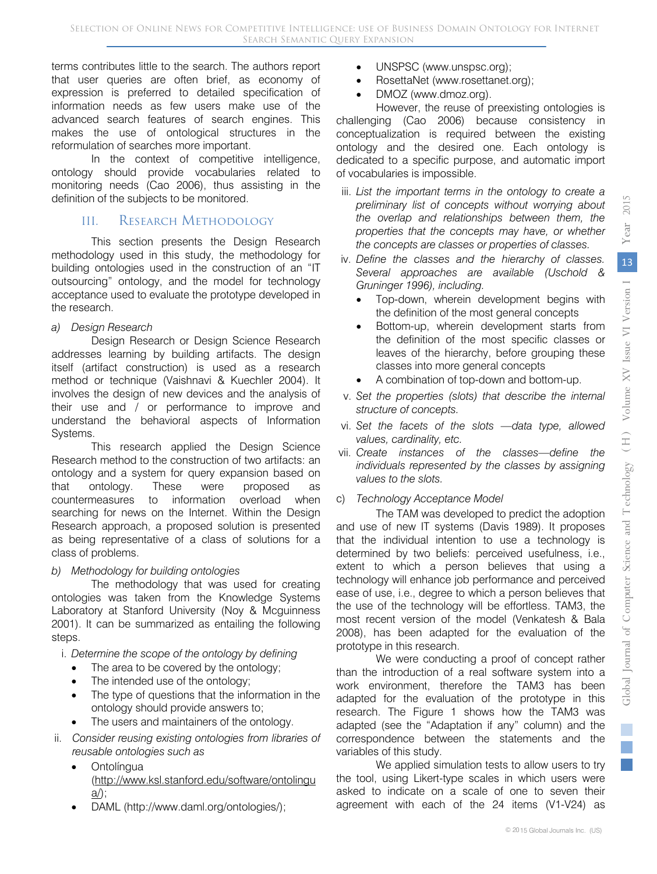terms contributes little to the search. The authors report that user queries are often brief, as economy of expression is preferred to detailed specification of information needs as few users make use of the advanced search features of search engines. This makes the use of ontological structures in the reformulation of searches more important.

In the context of competitive intelligence, ontology should provide vocabularies related to monitoring needs (Cao 2006), thus assisting in the definition of the subjects to be monitored.

#### III. RESEARCH METHODOLOGY

This section presents the Design Research methodology used in this study, the methodology for building ontologies used in the construction of an "IT outsourcing" ontology, and the model for technology acceptance used to evaluate the prototype developed in the research.

*a) Design Research* 

Design Research or Design Science Research addresses learning by building artifacts. The design itself (artifact construction) is used as a research method or technique (Vaishnavi & Kuechler 2004). It involves the design of new devices and the analysis of their use and / or performance to improve and understand the behavioral aspects of Information Systems.

This research applied the Design Science Research method to the construction of two artifacts: an ontology and a system for query expansion based on that ontology. These were proposed as countermeasures to information overload when searching for news on the Internet. Within the Design Research approach, a proposed solution is presented as being representative of a class of solutions for a class of problems.

#### *b) Methodology for building ontologies*

The methodology that was used for creating ontologies was taken from the Knowledge Systems Laboratory at Stanford University (Noy & Mcguinness 2001). It can be summarized as entailing the following steps.

i. *Determine the scope of the ontology by defining* 

- The area to be covered by the ontology;
- The intended use of the ontology;
- The type of questions that the information in the ontology should provide answers to;
- The users and maintainers of the ontology.
- ii. *Consider reusing existing ontologies from libraries of reusable ontologies such as* 
	- Ontolíngua [\(http://www.ksl.stanford.edu/software/ontolingu](http://www.ksl.stanford.edu/software/ontolingua/)  $\underline{a}$ );
	- DAML (http://www.daml.org/ontologies/);
- UNSPSC (www.unspsc.org);
- RosettaNet (www.rosettanet.org);
- DMOZ (www.dmoz.org).

However, the reuse of preexisting ontologies is challenging (Cao 2006) because consistency in conceptualization is required between the existing ontology and the desired one. Each ontology is dedicated to a specific purpose, and automatic import of vocabularies is impossible.

- iii. *List the important terms in the ontology to create a preliminary list of concepts without worrying about the overlap and relationships between them, the properties that the concepts may have, or whether the concepts are classes or properties of classes.*
- iv. *Define the classes and the hierarchy of classes. Several approaches are available (Uschold &*  Gruninger 1996), including.
	- Top-down, wherein development begins with the definition of the most general concepts
	- Bottom-up, wherein development starts from the definition of the most specific classes or leaves of the hierarchy, before grouping these classes into more general concepts
	- A combination of top-down and bottom-up.
- v. *Set the properties (slots) that describe the internal structure of concepts.*
- vi. *Set the facets of the slots —data type, allowed values, cardinality, etc.*
- vii. *Create instances of the classes—define the individuals represented by the classes by assigning values to the slots.*

#### c) *Technology Acceptance Model*

The TAM was developed to predict the adoption and use of new IT systems (Davis 1989). It proposes that the individual intention to use a technology is determined by two beliefs: perceived usefulness, i.e., extent to which a person believes that using a technology will enhance job performance and perceived ease of use, i.e., degree to which a person believes that the use of the technology will be effortless. TAM3, the most recent version of the model (Venkatesh & Bala 2008), has been adapted for the evaluation of the prototype in this research.

We were conducting a proof of concept rather than the introduction of a real software system into a work environment, therefore the TAM3 has been adapted for the evaluation of the prototype in this research. The Figure 1 shows how the TAM3 was adapted (see the "Adaptation if any" column) and the correspondence between the statements and the variables of this study.

We applied simulation tests to allow users to try the tool, using Likert-type scales in which users were asked to indicate on a scale of one to seven their agreement with each of the 24 items (V1-V24) as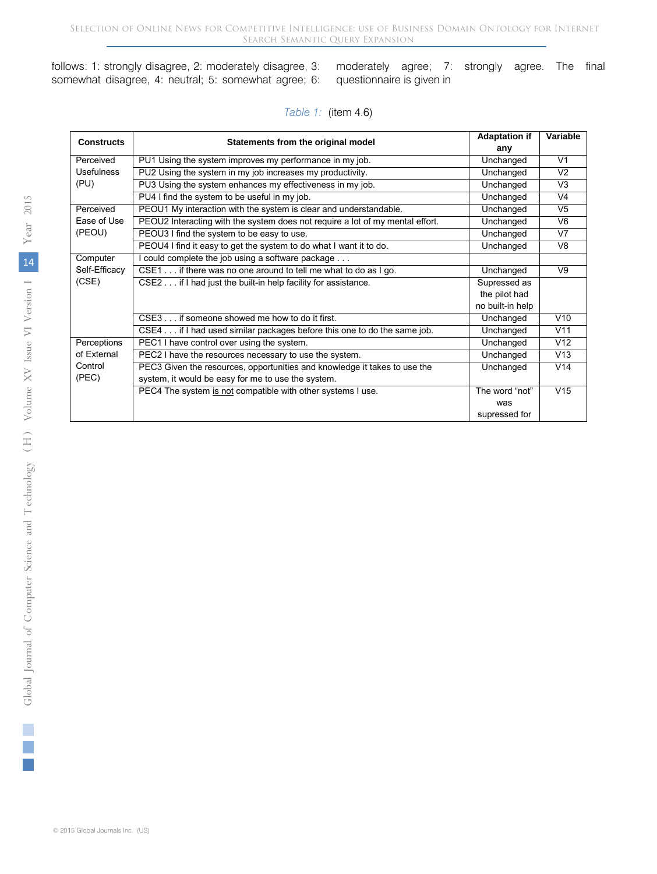follows: 1: strongly disagree, 2: moderately disagree, 3: somewhat disagree, 4: neutral; 5: somewhat agree; 6:

moderately agree; 7: strongly agree. The final questionnaire is given in

#### *Table 1:* (item 4.6)

| <b>Constructs</b> |                                                                               | <b>Adaptation if</b>                                                                                                                                                                                                                                                                                          | Variable       |
|-------------------|-------------------------------------------------------------------------------|---------------------------------------------------------------------------------------------------------------------------------------------------------------------------------------------------------------------------------------------------------------------------------------------------------------|----------------|
|                   |                                                                               | Statements from the original model<br>any<br>Unchanged<br>Unchanged<br>Unchanged<br>Unchanged<br>Unchanged<br>Unchanged<br>Unchanged<br>Unchanged<br>Unchanged<br>Supressed as<br>the pilot had<br>no built-in help<br>Unchanged<br>Unchanged<br>Unchanged<br>Unchanged<br>Unchanged<br>The word "not"<br>was |                |
| Perceived         | PU1 Using the system improves my performance in my job.                       |                                                                                                                                                                                                                                                                                                               | V <sub>1</sub> |
| <b>Usefulness</b> | PU2 Using the system in my job increases my productivity.                     |                                                                                                                                                                                                                                                                                                               | V <sub>2</sub> |
| (PU)              | PU3 Using the system enhances my effectiveness in my job.                     |                                                                                                                                                                                                                                                                                                               | V <sub>3</sub> |
|                   | PU4 I find the system to be useful in my job.                                 |                                                                                                                                                                                                                                                                                                               | V <sub>4</sub> |
| Perceived         | PEOU1 My interaction with the system is clear and understandable.             |                                                                                                                                                                                                                                                                                                               | V <sub>5</sub> |
| Ease of Use       | PEOU2 Interacting with the system does not require a lot of my mental effort. |                                                                                                                                                                                                                                                                                                               | V <sub>6</sub> |
| (PEOU)            | PEOU3 I find the system to be easy to use.                                    |                                                                                                                                                                                                                                                                                                               | V <sub>7</sub> |
|                   | PEOU4 I find it easy to get the system to do what I want it to do.            |                                                                                                                                                                                                                                                                                                               | V <sub>8</sub> |
| Computer          | I could complete the job using a software package                             |                                                                                                                                                                                                                                                                                                               |                |
| Self-Efficacy     | CSE1 if there was no one around to tell me what to do as I go.                |                                                                                                                                                                                                                                                                                                               | V9             |
| (CSE)             | CSE2 if I had just the built-in help facility for assistance.                 |                                                                                                                                                                                                                                                                                                               |                |
|                   |                                                                               |                                                                                                                                                                                                                                                                                                               |                |
|                   |                                                                               |                                                                                                                                                                                                                                                                                                               |                |
|                   | CSE3 if someone showed me how to do it first.                                 |                                                                                                                                                                                                                                                                                                               | V10            |
|                   | CSE4 if I had used similar packages before this one to do the same job.       |                                                                                                                                                                                                                                                                                                               | V11            |
| Perceptions       | PEC1 I have control over using the system.                                    |                                                                                                                                                                                                                                                                                                               | V12            |
| of External       | PEC2 I have the resources necessary to use the system.                        |                                                                                                                                                                                                                                                                                                               | V13            |
| Control           | PEC3 Given the resources, opportunities and knowledge it takes to use the     |                                                                                                                                                                                                                                                                                                               | V14            |
| (PEC)             | system, it would be easy for me to use the system.                            |                                                                                                                                                                                                                                                                                                               |                |
|                   | PEC4 The system is not compatible with other systems I use.                   |                                                                                                                                                                                                                                                                                                               | V15            |
|                   |                                                                               |                                                                                                                                                                                                                                                                                                               |                |
|                   |                                                                               | supressed for                                                                                                                                                                                                                                                                                                 |                |

T.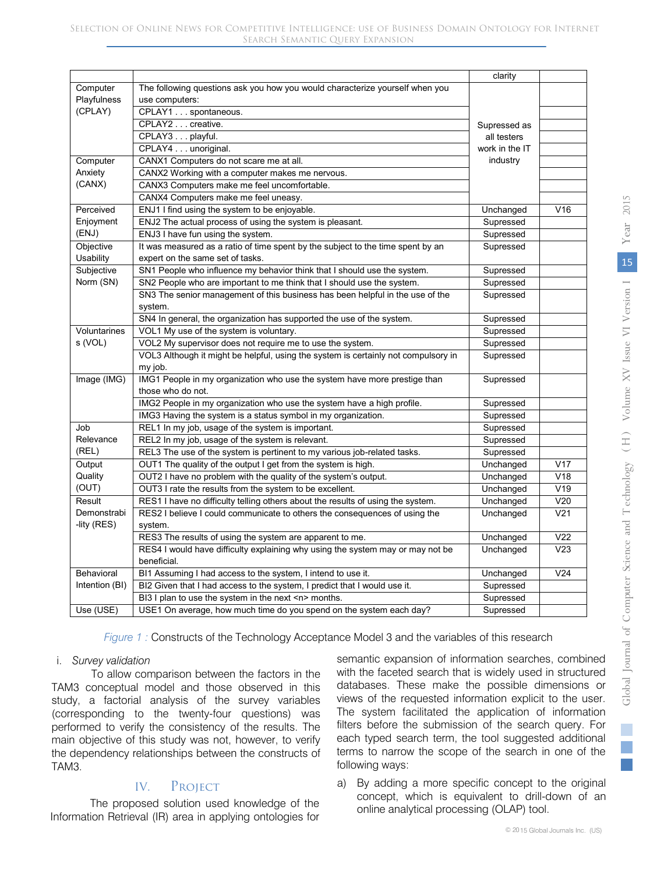| Computer<br>The following questions ask you how you would characterize yourself when you<br>Playfulness<br>use computers:<br>(CPLAY)<br>CPLAY1 spontaneous.<br>CPLAY2 creative.<br>Supressed as<br>CPLAY3 playful.<br>all testers<br>CPLAY4 unoriginal.<br>work in the IT<br>Computer<br>CANX1 Computers do not scare me at all.<br>industry<br>Anxiety<br>CANX2 Working with a computer makes me nervous.<br>(CANX)<br>CANX3 Computers make me feel uncomfortable.<br>CANX4 Computers make me feel uneasy.<br>V16<br>Perceived<br>ENJ1 I find using the system to be enjoyable.<br>Unchanged<br>Enjoyment<br>ENJ2 The actual process of using the system is pleasant.<br>Supressed<br>(ENJ)<br>ENJ3 I have fun using the system.<br>Supressed<br>It was measured as a ratio of time spent by the subject to the time spent by an<br>Supressed<br>Objective<br>Usability<br>expert on the same set of tasks.<br>Subjective<br>SN1 People who influence my behavior think that I should use the system.<br>Supressed<br>Norm (SN)<br>SN2 People who are important to me think that I should use the system.<br>Supressed<br>SN3 The senior management of this business has been helpful in the use of the<br>Supressed<br>system.<br>SN4 In general, the organization has supported the use of the system.<br>Supressed<br>Voluntarines<br>VOL1 My use of the system is voluntary.<br>Supressed<br>s (VOL)<br>VOL2 My supervisor does not require me to use the system.<br>Supressed<br>VOL3 Although it might be helpful, using the system is certainly not compulsory in<br>Supressed<br>my job.<br>IMG1 People in my organization who use the system have more prestige than<br>Image (IMG)<br>Supressed<br>those who do not.<br>IMG2 People in my organization who use the system have a high profile.<br>Supressed<br>IMG3 Having the system is a status symbol in my organization.<br>Supressed<br>Job<br>REL1 In my job, usage of the system is important.<br>Supressed<br>Relevance<br>REL2 In my job, usage of the system is relevant.<br>Supressed<br>(REL)<br>REL3 The use of the system is pertinent to my various job-related tasks.<br>Supressed<br>Output<br>OUT1 The quality of the output I get from the system is high.<br>Unchanged<br>V17<br>V18<br>OUT2 I have no problem with the quality of the system's output.<br>Quality<br>Unchanged<br>(OUT)<br>V19<br>OUT3 I rate the results from the system to be excellent.<br>Unchanged<br>V <sub>20</sub><br>Result<br>RES1 I have no difficulty telling others about the results of using the system.<br>Unchanged<br>Demonstrabi<br>RES2 I believe I could communicate to others the consequences of using the<br>Unchanged<br>V <sub>21</sub><br>-lity (RES)<br>system.<br>RES3 The results of using the system are apparent to me.<br>V <sub>22</sub><br>Unchanged<br>$\overline{\text{V23}}$<br>RES4 I would have difficulty explaining why using the system may or may not be<br>Unchanged<br>beneficial.<br>V24<br>Behavioral<br>BI1 Assuming I had access to the system, I intend to use it.<br>Unchanged<br>BI2 Given that I had access to the system, I predict that I would use it.<br>Supressed<br>Intention (BI)<br>BI3 I plan to use the system in the next <n> months.<br/>Supressed</n> |           |                                                                     | clarity   |  |
|--------------------------------------------------------------------------------------------------------------------------------------------------------------------------------------------------------------------------------------------------------------------------------------------------------------------------------------------------------------------------------------------------------------------------------------------------------------------------------------------------------------------------------------------------------------------------------------------------------------------------------------------------------------------------------------------------------------------------------------------------------------------------------------------------------------------------------------------------------------------------------------------------------------------------------------------------------------------------------------------------------------------------------------------------------------------------------------------------------------------------------------------------------------------------------------------------------------------------------------------------------------------------------------------------------------------------------------------------------------------------------------------------------------------------------------------------------------------------------------------------------------------------------------------------------------------------------------------------------------------------------------------------------------------------------------------------------------------------------------------------------------------------------------------------------------------------------------------------------------------------------------------------------------------------------------------------------------------------------------------------------------------------------------------------------------------------------------------------------------------------------------------------------------------------------------------------------------------------------------------------------------------------------------------------------------------------------------------------------------------------------------------------------------------------------------------------------------------------------------------------------------------------------------------------------------------------------------------------------------------------------------------------------------------------------------------------------------------------------------------------------------------------------------------------------------------------------------------------------------------------------------------------------------------------------------------------------------------------------------------------------------------------------------------------------------------------------------------------------------------------------------------------------------------------------------------------------------------------------------------------------------------------|-----------|---------------------------------------------------------------------|-----------|--|
|                                                                                                                                                                                                                                                                                                                                                                                                                                                                                                                                                                                                                                                                                                                                                                                                                                                                                                                                                                                                                                                                                                                                                                                                                                                                                                                                                                                                                                                                                                                                                                                                                                                                                                                                                                                                                                                                                                                                                                                                                                                                                                                                                                                                                                                                                                                                                                                                                                                                                                                                                                                                                                                                                                                                                                                                                                                                                                                                                                                                                                                                                                                                                                                                                                                                          |           |                                                                     |           |  |
|                                                                                                                                                                                                                                                                                                                                                                                                                                                                                                                                                                                                                                                                                                                                                                                                                                                                                                                                                                                                                                                                                                                                                                                                                                                                                                                                                                                                                                                                                                                                                                                                                                                                                                                                                                                                                                                                                                                                                                                                                                                                                                                                                                                                                                                                                                                                                                                                                                                                                                                                                                                                                                                                                                                                                                                                                                                                                                                                                                                                                                                                                                                                                                                                                                                                          |           |                                                                     |           |  |
|                                                                                                                                                                                                                                                                                                                                                                                                                                                                                                                                                                                                                                                                                                                                                                                                                                                                                                                                                                                                                                                                                                                                                                                                                                                                                                                                                                                                                                                                                                                                                                                                                                                                                                                                                                                                                                                                                                                                                                                                                                                                                                                                                                                                                                                                                                                                                                                                                                                                                                                                                                                                                                                                                                                                                                                                                                                                                                                                                                                                                                                                                                                                                                                                                                                                          |           |                                                                     |           |  |
|                                                                                                                                                                                                                                                                                                                                                                                                                                                                                                                                                                                                                                                                                                                                                                                                                                                                                                                                                                                                                                                                                                                                                                                                                                                                                                                                                                                                                                                                                                                                                                                                                                                                                                                                                                                                                                                                                                                                                                                                                                                                                                                                                                                                                                                                                                                                                                                                                                                                                                                                                                                                                                                                                                                                                                                                                                                                                                                                                                                                                                                                                                                                                                                                                                                                          |           |                                                                     |           |  |
|                                                                                                                                                                                                                                                                                                                                                                                                                                                                                                                                                                                                                                                                                                                                                                                                                                                                                                                                                                                                                                                                                                                                                                                                                                                                                                                                                                                                                                                                                                                                                                                                                                                                                                                                                                                                                                                                                                                                                                                                                                                                                                                                                                                                                                                                                                                                                                                                                                                                                                                                                                                                                                                                                                                                                                                                                                                                                                                                                                                                                                                                                                                                                                                                                                                                          |           |                                                                     |           |  |
|                                                                                                                                                                                                                                                                                                                                                                                                                                                                                                                                                                                                                                                                                                                                                                                                                                                                                                                                                                                                                                                                                                                                                                                                                                                                                                                                                                                                                                                                                                                                                                                                                                                                                                                                                                                                                                                                                                                                                                                                                                                                                                                                                                                                                                                                                                                                                                                                                                                                                                                                                                                                                                                                                                                                                                                                                                                                                                                                                                                                                                                                                                                                                                                                                                                                          |           |                                                                     |           |  |
|                                                                                                                                                                                                                                                                                                                                                                                                                                                                                                                                                                                                                                                                                                                                                                                                                                                                                                                                                                                                                                                                                                                                                                                                                                                                                                                                                                                                                                                                                                                                                                                                                                                                                                                                                                                                                                                                                                                                                                                                                                                                                                                                                                                                                                                                                                                                                                                                                                                                                                                                                                                                                                                                                                                                                                                                                                                                                                                                                                                                                                                                                                                                                                                                                                                                          |           |                                                                     |           |  |
|                                                                                                                                                                                                                                                                                                                                                                                                                                                                                                                                                                                                                                                                                                                                                                                                                                                                                                                                                                                                                                                                                                                                                                                                                                                                                                                                                                                                                                                                                                                                                                                                                                                                                                                                                                                                                                                                                                                                                                                                                                                                                                                                                                                                                                                                                                                                                                                                                                                                                                                                                                                                                                                                                                                                                                                                                                                                                                                                                                                                                                                                                                                                                                                                                                                                          |           |                                                                     |           |  |
|                                                                                                                                                                                                                                                                                                                                                                                                                                                                                                                                                                                                                                                                                                                                                                                                                                                                                                                                                                                                                                                                                                                                                                                                                                                                                                                                                                                                                                                                                                                                                                                                                                                                                                                                                                                                                                                                                                                                                                                                                                                                                                                                                                                                                                                                                                                                                                                                                                                                                                                                                                                                                                                                                                                                                                                                                                                                                                                                                                                                                                                                                                                                                                                                                                                                          |           |                                                                     |           |  |
|                                                                                                                                                                                                                                                                                                                                                                                                                                                                                                                                                                                                                                                                                                                                                                                                                                                                                                                                                                                                                                                                                                                                                                                                                                                                                                                                                                                                                                                                                                                                                                                                                                                                                                                                                                                                                                                                                                                                                                                                                                                                                                                                                                                                                                                                                                                                                                                                                                                                                                                                                                                                                                                                                                                                                                                                                                                                                                                                                                                                                                                                                                                                                                                                                                                                          |           |                                                                     |           |  |
|                                                                                                                                                                                                                                                                                                                                                                                                                                                                                                                                                                                                                                                                                                                                                                                                                                                                                                                                                                                                                                                                                                                                                                                                                                                                                                                                                                                                                                                                                                                                                                                                                                                                                                                                                                                                                                                                                                                                                                                                                                                                                                                                                                                                                                                                                                                                                                                                                                                                                                                                                                                                                                                                                                                                                                                                                                                                                                                                                                                                                                                                                                                                                                                                                                                                          |           |                                                                     |           |  |
|                                                                                                                                                                                                                                                                                                                                                                                                                                                                                                                                                                                                                                                                                                                                                                                                                                                                                                                                                                                                                                                                                                                                                                                                                                                                                                                                                                                                                                                                                                                                                                                                                                                                                                                                                                                                                                                                                                                                                                                                                                                                                                                                                                                                                                                                                                                                                                                                                                                                                                                                                                                                                                                                                                                                                                                                                                                                                                                                                                                                                                                                                                                                                                                                                                                                          |           |                                                                     |           |  |
|                                                                                                                                                                                                                                                                                                                                                                                                                                                                                                                                                                                                                                                                                                                                                                                                                                                                                                                                                                                                                                                                                                                                                                                                                                                                                                                                                                                                                                                                                                                                                                                                                                                                                                                                                                                                                                                                                                                                                                                                                                                                                                                                                                                                                                                                                                                                                                                                                                                                                                                                                                                                                                                                                                                                                                                                                                                                                                                                                                                                                                                                                                                                                                                                                                                                          |           |                                                                     |           |  |
|                                                                                                                                                                                                                                                                                                                                                                                                                                                                                                                                                                                                                                                                                                                                                                                                                                                                                                                                                                                                                                                                                                                                                                                                                                                                                                                                                                                                                                                                                                                                                                                                                                                                                                                                                                                                                                                                                                                                                                                                                                                                                                                                                                                                                                                                                                                                                                                                                                                                                                                                                                                                                                                                                                                                                                                                                                                                                                                                                                                                                                                                                                                                                                                                                                                                          |           |                                                                     |           |  |
|                                                                                                                                                                                                                                                                                                                                                                                                                                                                                                                                                                                                                                                                                                                                                                                                                                                                                                                                                                                                                                                                                                                                                                                                                                                                                                                                                                                                                                                                                                                                                                                                                                                                                                                                                                                                                                                                                                                                                                                                                                                                                                                                                                                                                                                                                                                                                                                                                                                                                                                                                                                                                                                                                                                                                                                                                                                                                                                                                                                                                                                                                                                                                                                                                                                                          |           |                                                                     |           |  |
|                                                                                                                                                                                                                                                                                                                                                                                                                                                                                                                                                                                                                                                                                                                                                                                                                                                                                                                                                                                                                                                                                                                                                                                                                                                                                                                                                                                                                                                                                                                                                                                                                                                                                                                                                                                                                                                                                                                                                                                                                                                                                                                                                                                                                                                                                                                                                                                                                                                                                                                                                                                                                                                                                                                                                                                                                                                                                                                                                                                                                                                                                                                                                                                                                                                                          |           |                                                                     |           |  |
|                                                                                                                                                                                                                                                                                                                                                                                                                                                                                                                                                                                                                                                                                                                                                                                                                                                                                                                                                                                                                                                                                                                                                                                                                                                                                                                                                                                                                                                                                                                                                                                                                                                                                                                                                                                                                                                                                                                                                                                                                                                                                                                                                                                                                                                                                                                                                                                                                                                                                                                                                                                                                                                                                                                                                                                                                                                                                                                                                                                                                                                                                                                                                                                                                                                                          |           |                                                                     |           |  |
|                                                                                                                                                                                                                                                                                                                                                                                                                                                                                                                                                                                                                                                                                                                                                                                                                                                                                                                                                                                                                                                                                                                                                                                                                                                                                                                                                                                                                                                                                                                                                                                                                                                                                                                                                                                                                                                                                                                                                                                                                                                                                                                                                                                                                                                                                                                                                                                                                                                                                                                                                                                                                                                                                                                                                                                                                                                                                                                                                                                                                                                                                                                                                                                                                                                                          |           |                                                                     |           |  |
|                                                                                                                                                                                                                                                                                                                                                                                                                                                                                                                                                                                                                                                                                                                                                                                                                                                                                                                                                                                                                                                                                                                                                                                                                                                                                                                                                                                                                                                                                                                                                                                                                                                                                                                                                                                                                                                                                                                                                                                                                                                                                                                                                                                                                                                                                                                                                                                                                                                                                                                                                                                                                                                                                                                                                                                                                                                                                                                                                                                                                                                                                                                                                                                                                                                                          |           |                                                                     |           |  |
|                                                                                                                                                                                                                                                                                                                                                                                                                                                                                                                                                                                                                                                                                                                                                                                                                                                                                                                                                                                                                                                                                                                                                                                                                                                                                                                                                                                                                                                                                                                                                                                                                                                                                                                                                                                                                                                                                                                                                                                                                                                                                                                                                                                                                                                                                                                                                                                                                                                                                                                                                                                                                                                                                                                                                                                                                                                                                                                                                                                                                                                                                                                                                                                                                                                                          |           |                                                                     |           |  |
|                                                                                                                                                                                                                                                                                                                                                                                                                                                                                                                                                                                                                                                                                                                                                                                                                                                                                                                                                                                                                                                                                                                                                                                                                                                                                                                                                                                                                                                                                                                                                                                                                                                                                                                                                                                                                                                                                                                                                                                                                                                                                                                                                                                                                                                                                                                                                                                                                                                                                                                                                                                                                                                                                                                                                                                                                                                                                                                                                                                                                                                                                                                                                                                                                                                                          |           |                                                                     |           |  |
|                                                                                                                                                                                                                                                                                                                                                                                                                                                                                                                                                                                                                                                                                                                                                                                                                                                                                                                                                                                                                                                                                                                                                                                                                                                                                                                                                                                                                                                                                                                                                                                                                                                                                                                                                                                                                                                                                                                                                                                                                                                                                                                                                                                                                                                                                                                                                                                                                                                                                                                                                                                                                                                                                                                                                                                                                                                                                                                                                                                                                                                                                                                                                                                                                                                                          |           |                                                                     |           |  |
|                                                                                                                                                                                                                                                                                                                                                                                                                                                                                                                                                                                                                                                                                                                                                                                                                                                                                                                                                                                                                                                                                                                                                                                                                                                                                                                                                                                                                                                                                                                                                                                                                                                                                                                                                                                                                                                                                                                                                                                                                                                                                                                                                                                                                                                                                                                                                                                                                                                                                                                                                                                                                                                                                                                                                                                                                                                                                                                                                                                                                                                                                                                                                                                                                                                                          |           |                                                                     |           |  |
|                                                                                                                                                                                                                                                                                                                                                                                                                                                                                                                                                                                                                                                                                                                                                                                                                                                                                                                                                                                                                                                                                                                                                                                                                                                                                                                                                                                                                                                                                                                                                                                                                                                                                                                                                                                                                                                                                                                                                                                                                                                                                                                                                                                                                                                                                                                                                                                                                                                                                                                                                                                                                                                                                                                                                                                                                                                                                                                                                                                                                                                                                                                                                                                                                                                                          |           |                                                                     |           |  |
|                                                                                                                                                                                                                                                                                                                                                                                                                                                                                                                                                                                                                                                                                                                                                                                                                                                                                                                                                                                                                                                                                                                                                                                                                                                                                                                                                                                                                                                                                                                                                                                                                                                                                                                                                                                                                                                                                                                                                                                                                                                                                                                                                                                                                                                                                                                                                                                                                                                                                                                                                                                                                                                                                                                                                                                                                                                                                                                                                                                                                                                                                                                                                                                                                                                                          |           |                                                                     |           |  |
|                                                                                                                                                                                                                                                                                                                                                                                                                                                                                                                                                                                                                                                                                                                                                                                                                                                                                                                                                                                                                                                                                                                                                                                                                                                                                                                                                                                                                                                                                                                                                                                                                                                                                                                                                                                                                                                                                                                                                                                                                                                                                                                                                                                                                                                                                                                                                                                                                                                                                                                                                                                                                                                                                                                                                                                                                                                                                                                                                                                                                                                                                                                                                                                                                                                                          |           |                                                                     |           |  |
|                                                                                                                                                                                                                                                                                                                                                                                                                                                                                                                                                                                                                                                                                                                                                                                                                                                                                                                                                                                                                                                                                                                                                                                                                                                                                                                                                                                                                                                                                                                                                                                                                                                                                                                                                                                                                                                                                                                                                                                                                                                                                                                                                                                                                                                                                                                                                                                                                                                                                                                                                                                                                                                                                                                                                                                                                                                                                                                                                                                                                                                                                                                                                                                                                                                                          |           |                                                                     |           |  |
|                                                                                                                                                                                                                                                                                                                                                                                                                                                                                                                                                                                                                                                                                                                                                                                                                                                                                                                                                                                                                                                                                                                                                                                                                                                                                                                                                                                                                                                                                                                                                                                                                                                                                                                                                                                                                                                                                                                                                                                                                                                                                                                                                                                                                                                                                                                                                                                                                                                                                                                                                                                                                                                                                                                                                                                                                                                                                                                                                                                                                                                                                                                                                                                                                                                                          |           |                                                                     |           |  |
|                                                                                                                                                                                                                                                                                                                                                                                                                                                                                                                                                                                                                                                                                                                                                                                                                                                                                                                                                                                                                                                                                                                                                                                                                                                                                                                                                                                                                                                                                                                                                                                                                                                                                                                                                                                                                                                                                                                                                                                                                                                                                                                                                                                                                                                                                                                                                                                                                                                                                                                                                                                                                                                                                                                                                                                                                                                                                                                                                                                                                                                                                                                                                                                                                                                                          |           |                                                                     |           |  |
|                                                                                                                                                                                                                                                                                                                                                                                                                                                                                                                                                                                                                                                                                                                                                                                                                                                                                                                                                                                                                                                                                                                                                                                                                                                                                                                                                                                                                                                                                                                                                                                                                                                                                                                                                                                                                                                                                                                                                                                                                                                                                                                                                                                                                                                                                                                                                                                                                                                                                                                                                                                                                                                                                                                                                                                                                                                                                                                                                                                                                                                                                                                                                                                                                                                                          |           |                                                                     |           |  |
|                                                                                                                                                                                                                                                                                                                                                                                                                                                                                                                                                                                                                                                                                                                                                                                                                                                                                                                                                                                                                                                                                                                                                                                                                                                                                                                                                                                                                                                                                                                                                                                                                                                                                                                                                                                                                                                                                                                                                                                                                                                                                                                                                                                                                                                                                                                                                                                                                                                                                                                                                                                                                                                                                                                                                                                                                                                                                                                                                                                                                                                                                                                                                                                                                                                                          |           |                                                                     |           |  |
|                                                                                                                                                                                                                                                                                                                                                                                                                                                                                                                                                                                                                                                                                                                                                                                                                                                                                                                                                                                                                                                                                                                                                                                                                                                                                                                                                                                                                                                                                                                                                                                                                                                                                                                                                                                                                                                                                                                                                                                                                                                                                                                                                                                                                                                                                                                                                                                                                                                                                                                                                                                                                                                                                                                                                                                                                                                                                                                                                                                                                                                                                                                                                                                                                                                                          |           |                                                                     |           |  |
|                                                                                                                                                                                                                                                                                                                                                                                                                                                                                                                                                                                                                                                                                                                                                                                                                                                                                                                                                                                                                                                                                                                                                                                                                                                                                                                                                                                                                                                                                                                                                                                                                                                                                                                                                                                                                                                                                                                                                                                                                                                                                                                                                                                                                                                                                                                                                                                                                                                                                                                                                                                                                                                                                                                                                                                                                                                                                                                                                                                                                                                                                                                                                                                                                                                                          |           |                                                                     |           |  |
|                                                                                                                                                                                                                                                                                                                                                                                                                                                                                                                                                                                                                                                                                                                                                                                                                                                                                                                                                                                                                                                                                                                                                                                                                                                                                                                                                                                                                                                                                                                                                                                                                                                                                                                                                                                                                                                                                                                                                                                                                                                                                                                                                                                                                                                                                                                                                                                                                                                                                                                                                                                                                                                                                                                                                                                                                                                                                                                                                                                                                                                                                                                                                                                                                                                                          |           |                                                                     |           |  |
|                                                                                                                                                                                                                                                                                                                                                                                                                                                                                                                                                                                                                                                                                                                                                                                                                                                                                                                                                                                                                                                                                                                                                                                                                                                                                                                                                                                                                                                                                                                                                                                                                                                                                                                                                                                                                                                                                                                                                                                                                                                                                                                                                                                                                                                                                                                                                                                                                                                                                                                                                                                                                                                                                                                                                                                                                                                                                                                                                                                                                                                                                                                                                                                                                                                                          |           |                                                                     |           |  |
|                                                                                                                                                                                                                                                                                                                                                                                                                                                                                                                                                                                                                                                                                                                                                                                                                                                                                                                                                                                                                                                                                                                                                                                                                                                                                                                                                                                                                                                                                                                                                                                                                                                                                                                                                                                                                                                                                                                                                                                                                                                                                                                                                                                                                                                                                                                                                                                                                                                                                                                                                                                                                                                                                                                                                                                                                                                                                                                                                                                                                                                                                                                                                                                                                                                                          |           |                                                                     |           |  |
|                                                                                                                                                                                                                                                                                                                                                                                                                                                                                                                                                                                                                                                                                                                                                                                                                                                                                                                                                                                                                                                                                                                                                                                                                                                                                                                                                                                                                                                                                                                                                                                                                                                                                                                                                                                                                                                                                                                                                                                                                                                                                                                                                                                                                                                                                                                                                                                                                                                                                                                                                                                                                                                                                                                                                                                                                                                                                                                                                                                                                                                                                                                                                                                                                                                                          |           |                                                                     |           |  |
|                                                                                                                                                                                                                                                                                                                                                                                                                                                                                                                                                                                                                                                                                                                                                                                                                                                                                                                                                                                                                                                                                                                                                                                                                                                                                                                                                                                                                                                                                                                                                                                                                                                                                                                                                                                                                                                                                                                                                                                                                                                                                                                                                                                                                                                                                                                                                                                                                                                                                                                                                                                                                                                                                                                                                                                                                                                                                                                                                                                                                                                                                                                                                                                                                                                                          |           |                                                                     |           |  |
|                                                                                                                                                                                                                                                                                                                                                                                                                                                                                                                                                                                                                                                                                                                                                                                                                                                                                                                                                                                                                                                                                                                                                                                                                                                                                                                                                                                                                                                                                                                                                                                                                                                                                                                                                                                                                                                                                                                                                                                                                                                                                                                                                                                                                                                                                                                                                                                                                                                                                                                                                                                                                                                                                                                                                                                                                                                                                                                                                                                                                                                                                                                                                                                                                                                                          |           |                                                                     |           |  |
|                                                                                                                                                                                                                                                                                                                                                                                                                                                                                                                                                                                                                                                                                                                                                                                                                                                                                                                                                                                                                                                                                                                                                                                                                                                                                                                                                                                                                                                                                                                                                                                                                                                                                                                                                                                                                                                                                                                                                                                                                                                                                                                                                                                                                                                                                                                                                                                                                                                                                                                                                                                                                                                                                                                                                                                                                                                                                                                                                                                                                                                                                                                                                                                                                                                                          |           |                                                                     |           |  |
|                                                                                                                                                                                                                                                                                                                                                                                                                                                                                                                                                                                                                                                                                                                                                                                                                                                                                                                                                                                                                                                                                                                                                                                                                                                                                                                                                                                                                                                                                                                                                                                                                                                                                                                                                                                                                                                                                                                                                                                                                                                                                                                                                                                                                                                                                                                                                                                                                                                                                                                                                                                                                                                                                                                                                                                                                                                                                                                                                                                                                                                                                                                                                                                                                                                                          |           |                                                                     |           |  |
|                                                                                                                                                                                                                                                                                                                                                                                                                                                                                                                                                                                                                                                                                                                                                                                                                                                                                                                                                                                                                                                                                                                                                                                                                                                                                                                                                                                                                                                                                                                                                                                                                                                                                                                                                                                                                                                                                                                                                                                                                                                                                                                                                                                                                                                                                                                                                                                                                                                                                                                                                                                                                                                                                                                                                                                                                                                                                                                                                                                                                                                                                                                                                                                                                                                                          |           |                                                                     |           |  |
|                                                                                                                                                                                                                                                                                                                                                                                                                                                                                                                                                                                                                                                                                                                                                                                                                                                                                                                                                                                                                                                                                                                                                                                                                                                                                                                                                                                                                                                                                                                                                                                                                                                                                                                                                                                                                                                                                                                                                                                                                                                                                                                                                                                                                                                                                                                                                                                                                                                                                                                                                                                                                                                                                                                                                                                                                                                                                                                                                                                                                                                                                                                                                                                                                                                                          |           |                                                                     |           |  |
|                                                                                                                                                                                                                                                                                                                                                                                                                                                                                                                                                                                                                                                                                                                                                                                                                                                                                                                                                                                                                                                                                                                                                                                                                                                                                                                                                                                                                                                                                                                                                                                                                                                                                                                                                                                                                                                                                                                                                                                                                                                                                                                                                                                                                                                                                                                                                                                                                                                                                                                                                                                                                                                                                                                                                                                                                                                                                                                                                                                                                                                                                                                                                                                                                                                                          | Use (USE) | USE1 On average, how much time do you spend on the system each day? | Supressed |  |

*Figure 1 :* Constructs of the Technology Acceptance Model 3 and the variables of this research

#### i. *Survey validation*

To allow comparison between the factors in the TAM3 conceptual model and those observed in this study, a factorial analysis of the survey variables (corresponding to the twenty-four questions) was performed to verify the consistency of the results. The main objective of this study was not, however, to verify the dependency relationships between the constructs of TAM3.

## IV. Project

The proposed solution used knowledge of the Information Retrieval (IR) area in applying ontologies for

semantic expansion of information searches, combined with the faceted search that is widely used in structured databases. These make the possible dimensions or views of the requested information explicit to the user. The system facilitated the application of information filters before the submission of the search query. For each typed search term, the tool suggested additional terms to narrow the scope of the search in one of the following ways:

a) By adding a more specific concept to the original concept, which is equivalent to drill-down of an online analytical processing (OLAP) tool.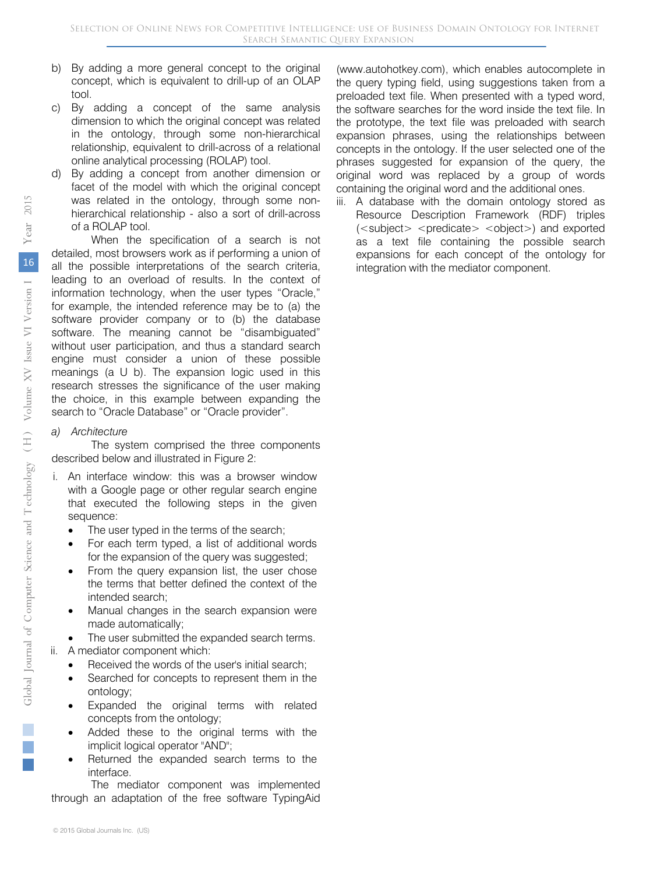- b) By adding a more general concept to the original concept, which is equivalent to drill-up of an OLAP tool.
- c) By adding a concept of the same analysis dimension to which the original concept was related in the ontology, through some non-hierarchical relationship, equivalent to drill-across of a relational online analytical processing (ROLAP) tool.
- By adding a concept from another dimension or facet of the model with which the original concept was related in the ontology, through some nonhierarchical relationship - also a sort of drill-across of a ROLAP tool.

When the specification of a search is not detailed, most browsers work as if performing a union of all the possible interpretations of the search criteria, leading to an overload of results. In the context of information technology, when the user types "Oracle," for example, the intended reference may be to (a) the software provider company or to (b) the database software. The meaning cannot be "disambiguated" without user participation, and thus a standard search engine must consider a union of these possible meanings (a U b). The expansion logic used in this research stresses the significance of the user making the choice, in this example between expanding the search to "Oracle Database" or "Oracle provider".

#### *a) Architecture*

The system comprised the three components described below and illustrated in Figure 2:

- i. An interface window: this was a browser window with a Google page or other regular search engine that executed the following steps in the given sequence:
	- The user typed in the terms of the search;
	- For each term typed, a list of additional words for the expansion of the query was suggested;
	- From the query expansion list, the user chose the terms that better defined the context of the intended search;
	- Manual changes in the search expansion were made automatically;

The user submitted the expanded search terms.

- ii. A mediator component which:
	- Received the words of the user's initial search;
	- Searched for concepts to represent them in the ontology;
	- Expanded the original terms with related concepts from the ontology;
	- Added these to the original terms with the implicit logical operator "AND";
	- Returned the expanded search terms to the interface.

The mediator component was implemented through an adaptation of the free software TypingAid

(www.autohotkey.com), which enables autocomplete in the query typing field, using suggestions taken from a preloaded text file. When presented with a typed word, the software searches for the word inside the text file. In the prototype, the text file was preloaded with search expansion phrases, using the relationships between concepts in the ontology. If the user selected one of the phrases suggested for expansion of the query, the original word was replaced by a group of words containing the original word and the additional ones.

 (<subject> <predicate> <object>) and exported iii. A database with the domain ontology stored as Resource Description Framework (RDF) triples as a text file containing the possible search expansions for each concept of the ontology for integration with the mediator component.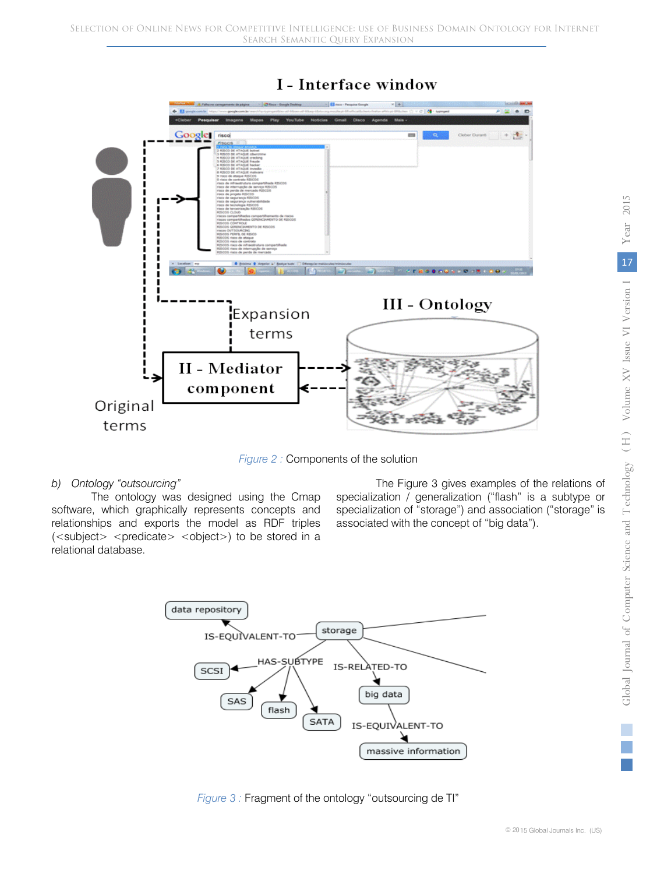

## I - Interface window

*Figure 2 :* Components of the solution

#### *b) Ontology "outsourcing"*

The ontology was designed using the Cmap software, which graphically represents concepts and relationships and exports the model as RDF triples  $(<sub>subject</sub>) <$   $<sub>predict</sub> >$   $<sub>object</sub>)$  to be stored in a</sub></sub> relational database.

The Figure 3 gives examples of the relations of specialization / generalization ("flash" is a subtype or specialization of "storage") and association ("storage" is associated with the concept of "big data").



*Figure 3 :* Fragment of the ontology "outsourcing de TI"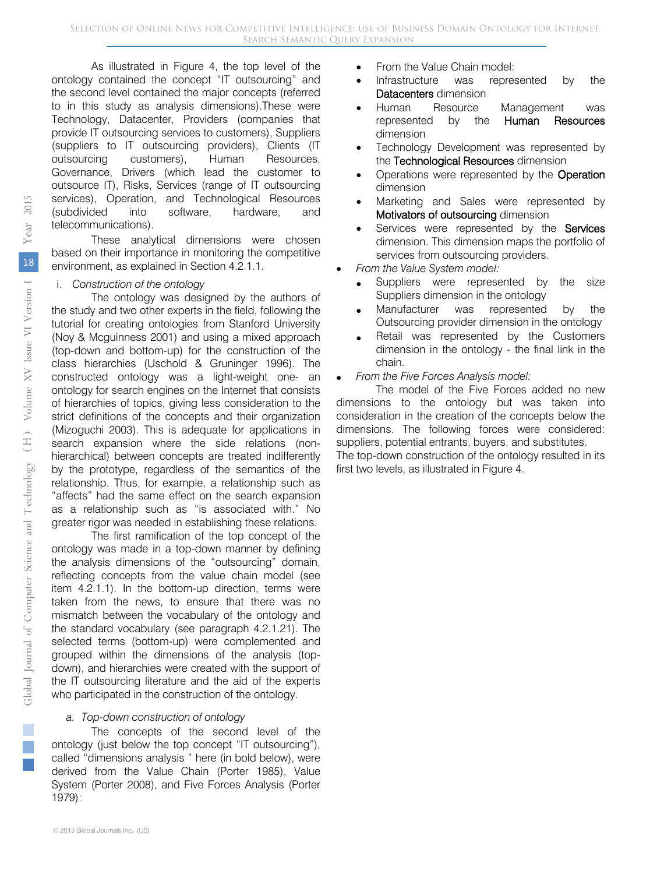As illustrated in Figure 4, the top level of the ontology contained the concept "IT outsourcing" and the second level contained the major concepts (referred to in this study as analysis dimensions).These were Technology, Datacenter, Providers (companies that provide IT outsourcing services to customers), Suppliers (suppliers to IT outsourcing providers), Clients (IT outsourcing customers), Human Resources, Governance, Drivers (which lead the customer to outsource IT), Risks, Services (range of IT outsourcing services), Operation, and Technological Resources (subdivided into software, hardware, and telecommunications).

These analytical dimensions were chosen based on their importance in monitoring the competitive environment, as explained in Section 4.2.1.1.

#### i. *Construction of the ontology*

The ontology was designed by the authors of the study and two other experts in the field, following the tutorial for creating ontologies from Stanford University (Noy & Mcguinness 2001) and using a mixed approach (top-down and bottom-up) for the construction of the class hierarchies (Uschold & Gruninger 1996). The constructed ontology was a light-weight one- an ontology for search engines on the Internet that consists of hierarchies of topics, giving less consideration to the strict definitions of the concepts and their organization (Mizoguchi 2003). This is adequate for applications in search expansion where the side relations (nonhierarchical) between concepts are treated indifferently by the prototype, regardless of the semantics of the relationship. Thus, for example, a relationship such as "affects" had the same effect on the search expansion as a relationship such as "is associated with." No greater rigor was needed in establishing these relations.

The first ramification of the top concept of the ontology was made in a top-down manner by defining the analysis dimensions of the "outsourcing" domain, reflecting concepts from the value chain model (see item 4.2.1.1). In the bottom-up direction, terms were taken from the news, to ensure that there was no mismatch between the vocabulary of the ontology and the standard vocabulary (see paragraph 4.2.1.21). The selected terms (bottom-up) were complemented and grouped within the dimensions of the analysis (topdown), and hierarchies were created with the support of the IT outsourcing literature and the aid of the experts who participated in the construction of the ontology.

#### *a. Top-down construction of ontology*

The concepts of the second level of the ontology (just below the top concept "IT outsourcing"), called "dimensions analysis " here (in bold below), were derived from the Value Chain (Porter 1985), Value System (Porter 2008), and Five Forces Analysis (Porter 1979):

- From the Value Chain model:
- Infrastructure was represented by the Datacenters dimension
- Human Resource Management was represented by the Human Resources dimension
- Technology Development was represented by the Technological Resources dimension
- Operations were represented by the Operation dimension
- Marketing and Sales were represented by Motivators of outsourcing dimension
- Services were represented by the Services dimension. This dimension maps the portfolio of services from outsourcing providers.
- *From the Value System model:* 
	- Suppliers were represented by the size Suppliers dimension in the ontology
	- Manufacturer was represented by the Outsourcing provider dimension in the ontology
	- Retail was represented by the Customers dimension in the ontology - the final link in the chain.
- *From the Five Forces Analysis model:*

The model of the Five Forces added no new dimensions to the ontology but was taken into consideration in the creation of the concepts below the dimensions. The following forces were considered: suppliers, potential entrants, buyers, and substitutes. The top-down construction of the ontology resulted in its first two levels, as illustrated in Figure 4.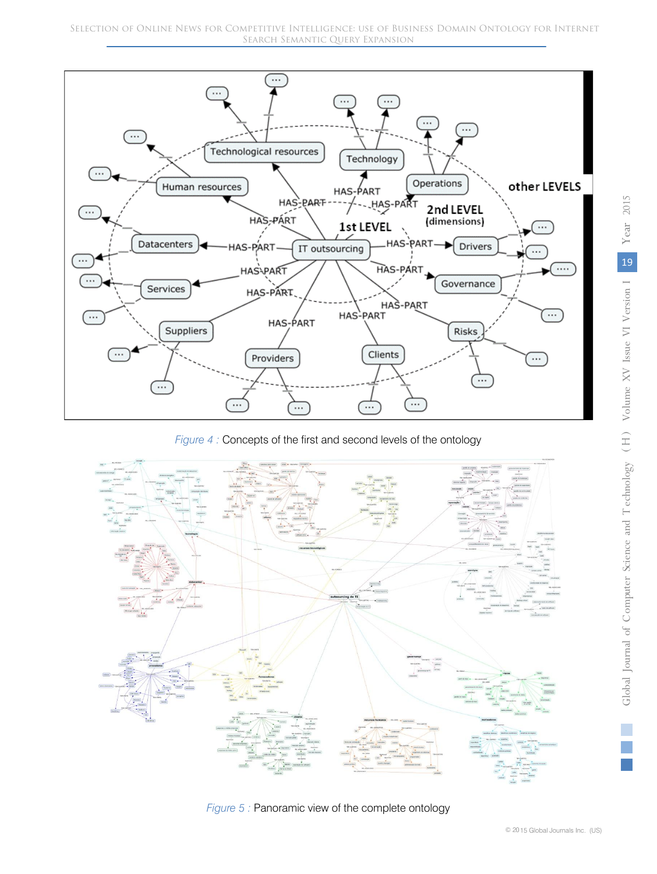

*Figure 4 :* Concepts of the first and second levels of the ontology



*Figure 5 :* Panoramic view of the complete ontology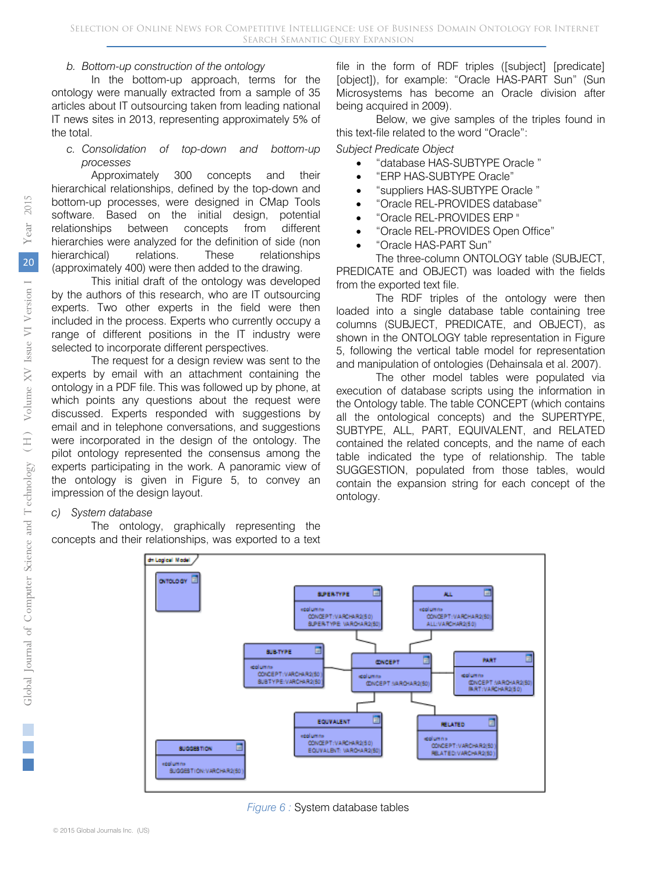#### *b. Bottom-up construction of the ontology*

In the bottom-up approach, terms for the ontology were manually extracted from a sample of 35 articles about IT outsourcing taken from leading national IT news sites in 2013, representing approximately 5% of the total.

#### *c. Consolidation of top-down and bottom-up processes*

Approximately 300 concepts and their hierarchical relationships, defined by the top-down and bottom-up processes, were designed in CMap Tools software. Based on the initial design, potential relationships between concepts from different hierarchies were analyzed for the definition of side (non hierarchical) relations. These relationships (approximately 400) were then added to the drawing.

This initial draft of the ontology was developed by the authors of this research, who are IT outsourcing experts. Two other experts in the field were then included in the process. Experts who currently occupy a range of different positions in the IT industry were selected to incorporate different perspectives.

The request for a design review was sent to the experts by email with an attachment containing the ontology in a PDF file. This was followed up by phone, at which points any questions about the request were discussed. Experts responded with suggestions by email and in telephone conversations, and suggestions were incorporated in the design of the ontology. The pilot ontology represented the consensus among the experts participating in the work. A panoramic view of the ontology is given in Figure 5, to convey an impression of the design layout.

#### *c) System database*

The ontology, graphically representing the concepts and their relationships, was exported to a text

file in the form of RDF triples ([subject] [predicate] [object]), for example: "Oracle HAS-PART Sun" (Sun Microsystems has become an Oracle division after being acquired in 2009).

Below, we give samples of the triples found in this text-file related to the word "Oracle":

*Subject Predicate Object* 

- "database HAS-SUBTYPE Oracle "
- "ERP HAS-SUBTYPE Oracle"
- "suppliers HAS-SUBTYPE Oracle "
- "Oracle REL-PROVIDES database"
- "Oracle REL-PROVIDES ERP "
- "Oracle REL-PROVIDES Open Office"
- "Oracle HAS-PART Sun"

The three-column ONTOLOGY table (SUBJECT, PREDICATE and OBJECT) was loaded with the fields from the exported text file.

The RDF triples of the ontology were then loaded into a single database table containing tree columns (SUBJECT, PREDICATE, and OBJECT), as shown in the ONTOLOGY table representation in Figure 5, following the vertical table model for representation and manipulation of ontologies (Dehainsala et al. 2007).

The other model tables were populated via execution of database scripts using the information in the Ontology table. The table CONCEPT (which contains all the ontological concepts) and the SUPERTYPE, SUBTYPE, ALL, PART, EQUIVALENT, and RELATED contained the related concepts, and the name of each table indicated the type of relationship. The table SUGGESTION, populated from those tables, would contain the expansion string for each concept of the ontology.





*Figure 6 :* System database tables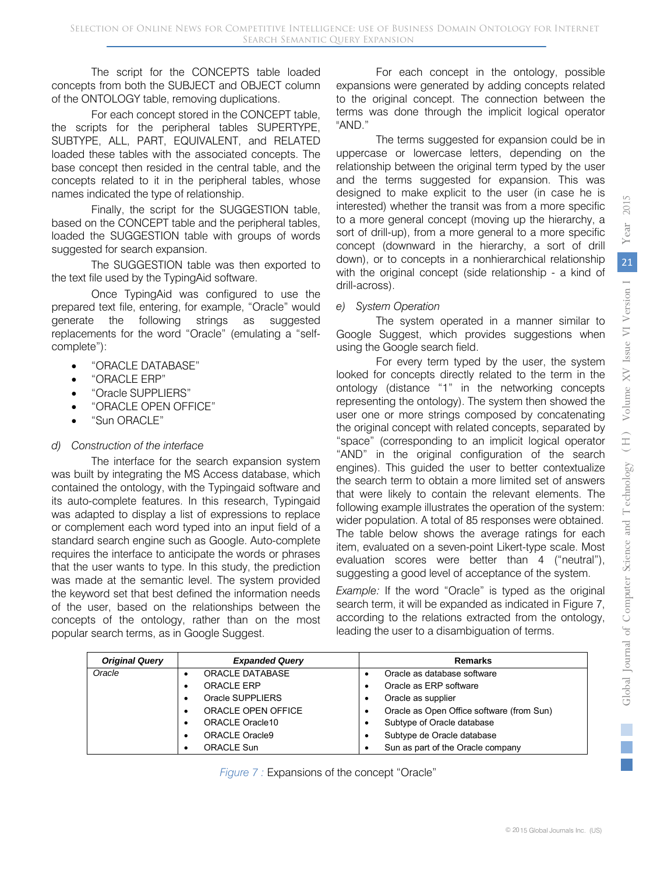The script for the CONCEPTS table loaded concepts from both the SUBJECT and OBJECT column of the ONTOLOGY table, removing duplications.

For each concept stored in the CONCEPT table, the scripts for the peripheral tables SUPERTYPE, SUBTYPE, ALL, PART, EQUIVALENT, and RELATED loaded these tables with the associated concepts. The base concept then resided in the central table, and the concepts related to it in the peripheral tables, whose names indicated the type of relationship.

Finally, the script for the SUGGESTION table, based on the CONCEPT table and the peripheral tables, loaded the SUGGESTION table with groups of words suggested for search expansion.

The SUGGESTION table was then exported to the text file used by the TypingAid software.

Once TypingAid was configured to use the prepared text file, entering, for example, "Oracle" would generate the following strings as suggested replacements for the word "Oracle" (emulating a "selfcomplete"):

- "ORACLE DATABASE"
- "ORACLE FRP"
- "Oracle SUPPLIERS"
- "ORACLE OPEN OFFICE"
- "Sun ORACLE"

#### *d) Construction of the interface*

The interface for the search expansion system was built by integrating the MS Access database, which contained the ontology, with the Typingaid software and its auto-complete features. In this research, Typingaid was adapted to display a list of expressions to replace or complement each word typed into an input field of a standard search engine such as Google. Auto-complete requires the interface to anticipate the words or phrases that the user wants to type. In this study, the prediction was made at the semantic level. The system provided the keyword set that best defined the information needs of the user, based on the relationships between the concepts of the ontology, rather than on the most popular search terms, as in Google Suggest.

For each concept in the ontology, possible expansions were generated by adding concepts related to the original concept. The connection between the terms was done through the implicit logical operator "AND."

The terms suggested for expansion could be in uppercase or lowercase letters, depending on the relationship between the original term typed by the user and the terms suggested for expansion. This was designed to make explicit to the user (in case he is interested) whether the transit was from a more specific to a more general concept (moving up the hierarchy, a sort of drill-up), from a more general to a more specific concept (downward in the hierarchy, a sort of drill down), or to concepts in a nonhierarchical relationship with the original concept (side relationship - a kind of drill-across).

#### *e) System Operation*

The system operated in a manner similar to Google Suggest, which provides suggestions when using the Google search field.

For every term typed by the user, the system looked for concepts directly related to the term in the ontology (distance "1" in the networking concepts representing the ontology). The system then showed the user one or more strings composed by concatenating the original concept with related concepts, separated by "space" (corresponding to an implicit logical operator "AND" in the original configuration of the search engines). This guided the user to better contextualize the search term to obtain a more limited set of answers that were likely to contain the relevant elements. The following example illustrates the operation of the system: wider population. A total of 85 responses were obtained. The table below shows the average ratings for each item, evaluated on a seven-point Likert-type scale. Most evaluation scores were better than 4 ("neutral"), suggesting a good level of acceptance of the system.

*Example:* If the word "Oracle" is typed as the original search term, it will be expanded as indicated in Figure 7, according to the relations extracted from the ontology, leading the user to a disambiguation of terms.

| <b>Original Query</b> | <b>Expanded Query</b>  | <b>Remarks</b>                            |
|-----------------------|------------------------|-------------------------------------------|
| Oracle                | <b>ORACLE DATABASE</b> | Oracle as database software               |
|                       | <b>ORACLE ERP</b>      | Oracle as ERP software                    |
|                       | Oracle SUPPLIERS       | Oracle as supplier                        |
|                       | ORACLE OPEN OFFICE     | Oracle as Open Office software (from Sun) |
|                       | ORACLE Oracle10        | Subtype of Oracle database                |
|                       | <b>ORACLE Oracle9</b>  | Subtype de Oracle database                |
|                       | <b>ORACLE Sun</b>      | Sun as part of the Oracle company         |

*Figure 7 :* Expansions of the concept "Oracle"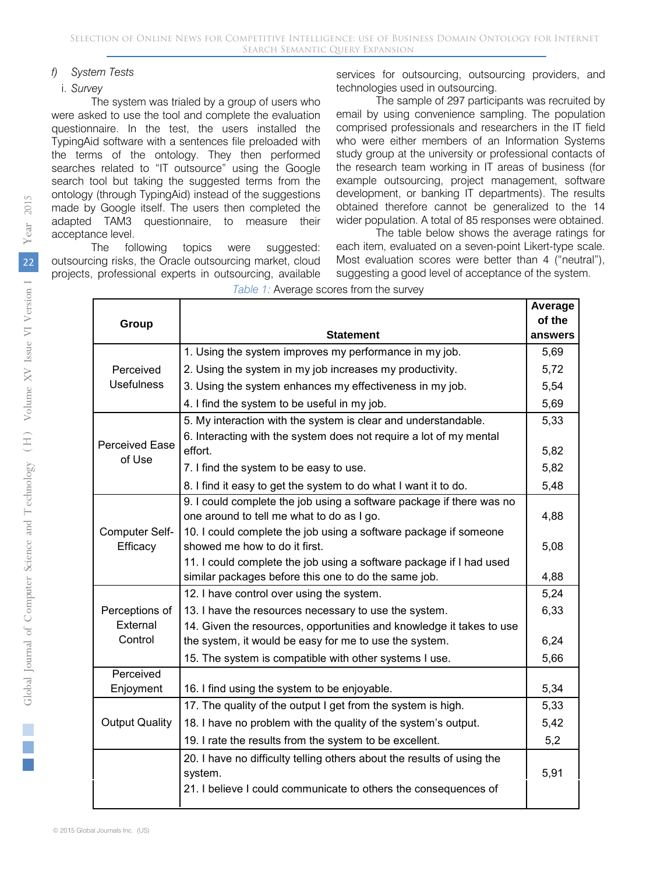#### *f) System Tests*

#### i. *Survey*

The system was trialed by a group of users who were asked to use the tool and complete the evaluation questionnaire. In the test, the users installed the TypingAid software with a sentences file preloaded with the terms of the ontology. They then performed searches related to "IT outsource" using the Google search tool but taking the suggested terms from the ontology (through TypingAid) instead of the suggestions made by Google itself. The users then completed the adapted TAM3 questionnaire, to measure their acceptance level.

The following topics were suggested: outsourcing risks, the Oracle outsourcing market, cloud projects, professional experts in outsourcing, available services for outsourcing, outsourcing providers, and technologies used in outsourcing.

The sample of 297 participants was recruited by email by using convenience sampling. The population comprised professionals and researchers in the IT field who were either members of an Information Systems study group at the university or professional contacts of the research team working in IT areas of business (for example outsourcing, project management, software development, or banking IT departments). The results obtained therefore cannot be generalized to the 14 wider population. A total of 85 responses were obtained.

The table below shows the average ratings for each item, evaluated on a seven-point Likert-type scale. Most evaluation scores were better than 4 ("neutral"), suggesting a good level of acceptance of the system.

|                       |                                                                        | Average |
|-----------------------|------------------------------------------------------------------------|---------|
| Group                 |                                                                        |         |
|                       | Statement                                                              | answers |
|                       | 1. Using the system improves my performance in my job.                 | 5,69    |
| Perceived             | 2. Using the system in my job increases my productivity.               | 5,72    |
| <b>Usefulness</b>     | 3. Using the system enhances my effectiveness in my job.               | 5,54    |
|                       | 4. I find the system to be useful in my job.                           | 5,69    |
|                       | 5. My interaction with the system is clear and understandable.         |         |
| <b>Perceived Ease</b> | 6. Interacting with the system does not require a lot of my mental     | 5,82    |
| of Use                | effort.                                                                |         |
|                       | 7. I find the system to be easy to use.                                | 5,82    |
|                       | 8. I find it easy to get the system to do what I want it to do.        | 5,48    |
|                       | 9. I could complete the job using a software package if there was no   |         |
|                       | one around to tell me what to do as I go.                              | 4,88    |
| Computer Self-        | 10. I could complete the job using a software package if someone       |         |
| Efficacy              | showed me how to do it first.                                          | 5,08    |
|                       | 11. I could complete the job using a software package if I had used    |         |
|                       | similar packages before this one to do the same job.                   | 4,88    |
|                       | 12. I have control over using the system.                              | 5,24    |
| Perceptions of        | 13. I have the resources necessary to use the system.                  | 6,33    |
| External              | 14. Given the resources, opportunities and knowledge it takes to use   |         |
| Control               | the system, it would be easy for me to use the system.                 | 6,24    |
|                       | 15. The system is compatible with other systems I use.                 | 5,66    |
| Perceived             |                                                                        |         |
| Enjoyment             | 16. I find using the system to be enjoyable.                           | 5,34    |
|                       | 17. The quality of the output I get from the system is high.           | 5,33    |
| <b>Output Quality</b> | 18. I have no problem with the quality of the system's output.         | 5,42    |
|                       | 19. I rate the results from the system to be excellent.                | 5,2     |
|                       | 20. I have no difficulty telling others about the results of using the |         |
|                       | system.                                                                | 5,91    |
|                       | 21. I believe I could communicate to others the consequences of        |         |
|                       |                                                                        |         |

*Table 1:* Average scores from the survey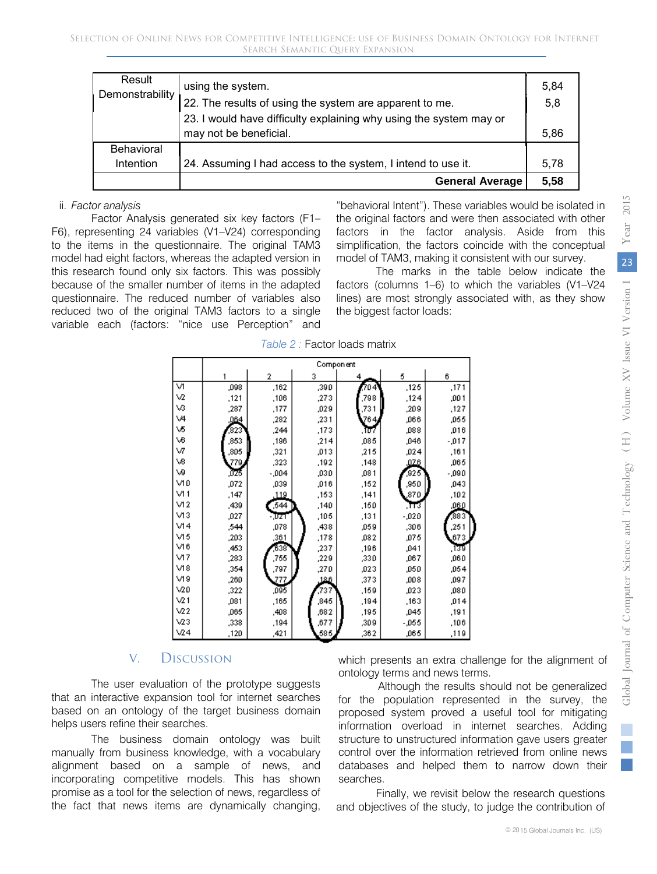| Result<br>Demonstrability | using the system.                                                  | 5,84 |
|---------------------------|--------------------------------------------------------------------|------|
|                           | 22. The results of using the system are apparent to me.            | 5,8  |
|                           | 23. I would have difficulty explaining why using the system may or |      |
|                           | may not be beneficial.                                             | 5,86 |
| <b>Behavioral</b>         |                                                                    |      |
| Intention                 | 24. Assuming I had access to the system, I intend to use it.       | 5,78 |
|                           | <b>General Average</b>                                             | 5,58 |

#### ii. *Factor analysis*

Factor Analysis generated six key factors (F1– F6), representing 24 variables (V1–V24) corresponding to the items in the questionnaire. The original TAM3 model had eight factors, whereas the adapted version in this research found only six factors. This was possibly because of the smaller number of items in the adapted questionnaire. The reduced number of variables also reduced two of the original TAM3 factors to a single variable each (factors: "nice use Perception" and

"behavioral Intent"). These variables would be isolated in the original factors and were then associated with other factors in the factor analysis. Aside from this simplification, the factors coincide with the conceptual model of TAM3, making it consistent with our survey.

The marks in the table below indicate the factors (columns 1–6) to which the variables (V1–V24 lines) are most strongly associated with, as they show the biggest factor loads:

|                 |      |         | <b>Component</b> |      |          |         |
|-----------------|------|---------|------------------|------|----------|---------|
|                 |      | 2       | 3                |      | 5        | 6       |
| V١              | ,098 | ,162    | ,390             | 704  | ,125     | ,171    |
| V2              | ,121 | ,106    | ,273             | ,798 | ,124     | ,001    |
| V3              | ,287 | ,177    | ,029             | ,731 | ,209     | ,127    |
| ٧4              | .064 | ,282    | ,231             | 764, | ,066     | ,055    |
| ٧5              | 823  | ,244    | ,173             | ،ππ  | ,088     | ,016    |
| V6              | ,853 | ,196    | ,214             | ,085 | ,046     | $-0.17$ |
| VZ              | ,805 | ,321    | ,013             | ,215 | ,024     | ,161    |
| V8              | 779, | ,323    | ,192             | ,148 | ,026     | ,065    |
| W               | ,075 | $-0.04$ | ,030             | ,081 | 925      | -,090   |
| V١O             | ,072 | ,039    | ,016             | ,152 | ,950     | ,043    |
| VI 1            | ,147 | .119    | ,153             | ,141 | ,870     | ,102    |
| VI <sub>2</sub> | ,439 | 544     | ,140             | ,150 | ,πउ      | ,060    |
| V13             | ,027 | - एक    | ,105             | ,131 | $-0.020$ | 383     |
| $\sqrt{14}$     | .544 | ,078    | ,438             | ,059 | ,306     | ,251    |
| V15             | ,203 | ,361    | ,178             | ,082 | ,075     | ,673    |
| V16             | ,453 | 638     | ,237             | ,196 | .041     | , ডিউ   |
| VI7             | ,283 | ,755    | ,229             | ,330 | ,067     | ,060    |
| V18             | ,354 | ,797    | ,270             | ,023 | ,050     | ,054    |
| V19             | ,260 | 272     | 12.6             | ,373 | ,008     | ,097    |
| $\vee$ 20       | ,322 | ,095    | 737              | ,159 | ,023     | ,080    |
| $\sqrt{2}1$     | .081 | ,165    | ,845             | ,194 | ,163     | ,014    |
| $\sqrt{22}$     | ,065 | ,408    | ,682             | ,195 | ,045     | ,191    |
| V23             | ,338 | ,194    | ,677             | ,309 | $-0.055$ | ,106    |
| $\sqrt{24}$     | ,120 | ,421    | 585,             | ,362 | ,065     | ,119    |

*Table 2 :* Factor loads matrix

## V. Discussion

The user evaluation of the prototype suggests that an interactive expansion tool for internet searches based on an ontology of the target business domain helps users refine their searches.

The business domain ontology was built manually from business knowledge, with a vocabulary alignment based on a sample of news, and incorporating competitive models. This has shown promise as a tool for the selection of news, regardless of the fact that news items are dynamically changing, which presents an extra challenge for the alignment of ontology terms and news terms.

Although the results should not be generalized for the population represented in the survey, the proposed system proved a useful tool for mitigating information overload in internet searches. Adding structure to unstructured information gave users greater control over the information retrieved from online news databases and helped them to narrow down their searches.

Finally, we revisit below the research questions and objectives of the study, to judge the contribution of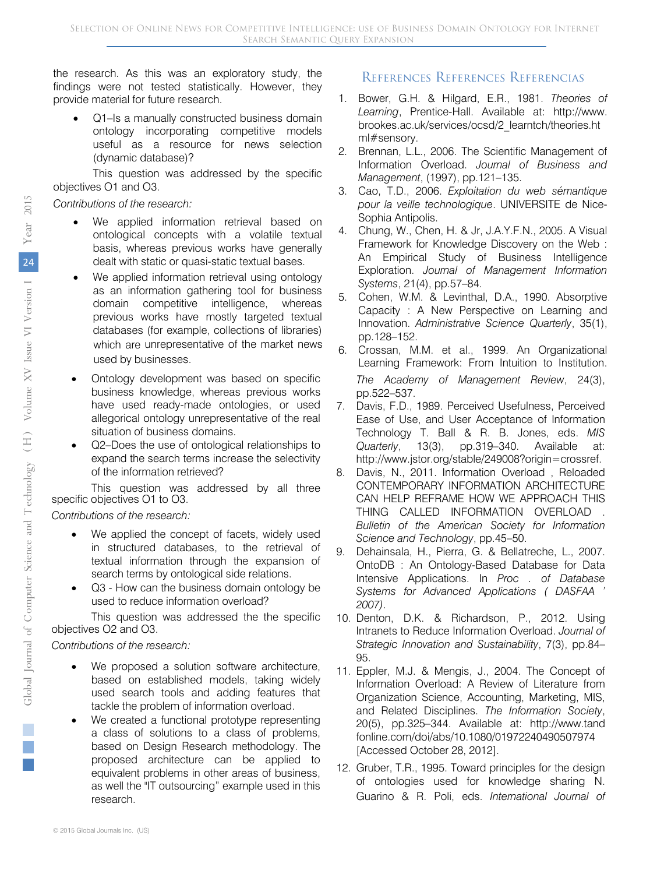the research. As this was an exploratory study, the findings were not tested statistically. However, they provide material for future research.

• Q1–Is a manually constructed business domain ontology incorporating competitive models useful as a resource for news selection (dynamic database)?

This question was addressed by the specific objectives O1 and O3.

*Contributions of the research:* 

- We applied information retrieval based on ontological concepts with a volatile textual basis, whereas previous works have generally dealt with static or quasi-static textual bases.
- We applied information retrieval using ontology as an information gathering tool for business domain competitive intelligence, whereas previous works have mostly targeted textual databases (for example, collections of libraries) which are unrepresentative of the market news used by businesses.
- Ontology development was based on specific business knowledge, whereas previous works have used ready-made ontologies, or used allegorical ontology unrepresentative of the real situation of business domains.
- Q2–Does the use of ontological relationships to expand the search terms increase the selectivity of the information retrieved?

This question was addressed by all three specific objectives O1 to O3.

*Contributions of the research:* 

- We applied the concept of facets, widely used in structured databases, to the retrieval of textual information through the expansion of search terms by ontological side relations.
- Q3 How can the business domain ontology be used to reduce information overload?

This question was addressed the the specific objectives O2 and O3.

## *Contributions of the research:*

- We proposed a solution software architecture, based on established models, taking widely used search tools and adding features that tackle the problem of information overload.
- We created a functional prototype representing a class of solutions to a class of problems, based on Design Research methodology. The proposed architecture can be applied to equivalent problems in other areas of business, as well the "IT outsourcing" example used in this research.

## References References Referencias

- 1. Bower, G.H. & Hilgard, E.R., 1981. *Theories of Learning*, Prentice-Hall. Available at: http://www. brookes.ac.uk/services/ocsd/2\_learntch/theories.ht ml#sensory.
- 2. Brennan, L.L., 2006. The Scientific Management of Information Overload. *Journal of Business and Management*, (1997), pp.121–135.
- 3. Cao, T.D., 2006. *Exploitation du web sémantique pour la veille technologique*. UNIVERSITE de Nice-Sophia Antipolis.
- 4. Chung, W., Chen, H. & Jr, J.A.Y.F.N., 2005. A Visual Framework for Knowledge Discovery on the Web : An Empirical Study of Business Intelligence Exploration. *Journal of Management Information Systems*, 21(4), pp.57–84.
- 5. Cohen, W.M. & Levinthal, D.A., 1990. Absorptive Capacity : A New Perspective on Learning and Innovation. *Administrative Science Quarterly*, 35(1), pp.128–152.
- 6. Crossan, M.M. et al., 1999. An Organizational Learning Framework: From Intuition to Institution. *The Academy of Management Review*, 24(3), pp.522–537.
- 7. Davis, F.D., 1989. Perceived Usefulness, Perceived Ease of Use, and User Acceptance of Information Technology T. Ball & R. B. Jones, eds. *MIS Quarterly*, 13(3), pp.319–340. Available at: http://www.jstor.org/stable/249008?origin=crossref.
- 8. Davis, N., 2011. Information Overload , Reloaded CONTEMPORARY INFORMATION ARCHITECTURE CAN HELP REFRAME HOW WE APPROACH THIS THING CALLED INFORMATION OVERLOAD . *Bulletin of the American Society for Information Science and Technology*, pp.45–50.
- 9. Dehainsala, H., Pierra, G. & Bellatreche, L., 2007. OntoDB : An Ontology-Based Database for Data Intensive Applications. In *Proc . of Database Systems for Advanced Applications ( DASFAA ' 2007)*.
- 10. Denton, D.K. & Richardson, P., 2012. Using Intranets to Reduce Information Overload. *Journal of Strategic Innovation and Sustainability*, 7(3), pp.84– 95.
- 11. Eppler, M.J. & Mengis, J., 2004. The Concept of Information Overload: A Review of Literature from Organization Science, Accounting, Marketing, MIS, and Related Disciplines. *The Information Society*, 20(5), pp.325–344. Available at: http://www.tand fonline.com/doi/abs/10.1080/01972240490507974 [Accessed October 28, 2012].
- 12. Gruber, T.R., 1995. Toward principles for the design of ontologies used for knowledge sharing N. Guarino & R. Poli, eds. *International Journal of*

i.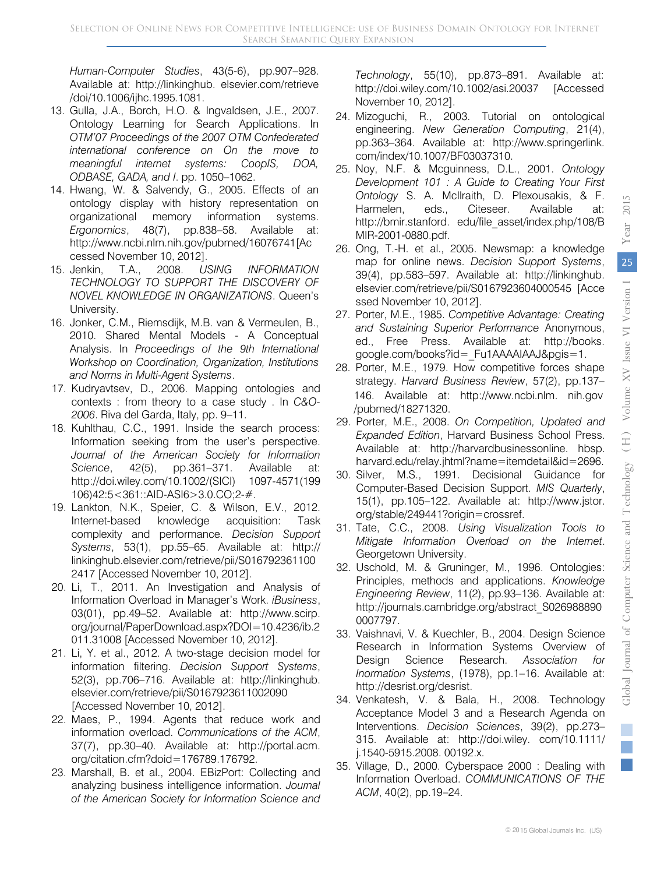*Human-Computer Studies*, 43(5-6), pp.907–928. Available at: http://linkinghub. elsevier.com/retrieve /doi/10.1006/ijhc.1995.1081.

- 13. Gulla, J.A., Borch, H.O. & Ingvaldsen, J.E., 2007. Ontology Learning for Search Applications. In *OTM'07 Proceedings of the 2007 OTM Confederated international conference on On the move to meaningful internet systems: CoopIS, DOA, ODBASE, GADA, and I*. pp. 1050–1062.
- 14. Hwang, W. & Salvendy, G., 2005. Effects of an ontology display with history representation on organizational memory information systems. *Ergonomics*, 48(7), pp.838–58. Available at: http://www.ncbi.nlm.nih.gov/pubmed/16076741[Ac cessed November 10, 2012].
- 15. Jenkin, T.A., 2008. *USING INFORMATION TECHNOLOGY TO SUPPORT THE DISCOVERY OF NOVEL KNOWLEDGE IN ORGANIZATIONS*. Queen's University.
- 16. Jonker, C.M., Riemsdijk, M.B. van & Vermeulen, B., 2010. Shared Mental Models - A Conceptual Analysis. In *Proceedings of the 9th International Workshop on Coordination, Organization, Institutions and Norms in Multi-Agent Systems*.
- 17. Kudryavtsev, D., 2006. Mapping ontologies and contexts : from theory to a case study . In *C&O-2006*. Riva del Garda, Italy, pp. 9–11.
- 18. Kuhlthau, C.C., 1991. Inside the search process: Information seeking from the user's perspective. *Journal of the American Society for Information Science*, 42(5), pp.361–371. Available at: http://doi.wiley.com/10.1002/(SICI) 1097-4571(199 106)42:5<361::AID-ASI6>3.0.CO;2-#.
- 19. Lankton, N.K., Speier, C. & Wilson, E.V., 2012. Internet-based knowledge acquisition: Task complexity and performance. *Decision Support Systems*, 53(1), pp.55–65. Available at: http:// linkinghub.elsevier.com/retrieve/pii/S016792361100 2417 [Accessed November 10, 2012].
- 20. Li, T., 2011. An Investigation and Analysis of Information Overload in Manager's Work. *iBusiness*, 03(01), pp.49–52. Available at: http://www.scirp. org/journal/PaperDownload.aspx?DOI=10.4236/ib.2 011.31008 [Accessed November 10, 2012].
- 21. Li, Y. et al., 2012. A two-stage decision model for information filtering. *Decision Support Systems*, 52(3), pp.706–716. Available at: http://linkinghub. elsevier.com/retrieve/pii/S0167923611002090 [Accessed November 10, 2012].
- 22. Maes, P., 1994. Agents that reduce work and information overload. *Communications of the ACM*, 37(7), pp.30–40. Available at: http://portal.acm. org/citation.cfm?doid=176789.176792.
- 23. Marshall, B. et al., 2004. EBizPort: Collecting and analyzing business intelligence information. *Journal of the American Society for Information Science and*

*Technology*, 55(10), pp.873–891. Available at: http://doi.wiley.com/10.1002/asi.20037 [Accessed November 10, 2012].

- 24. Mizoguchi, R., 2003. Tutorial on ontological engineering. *New Generation Computing*, 21(4), pp.363–364. Available at: http://www.springerlink. com/index/10.1007/BF03037310.
- 25. Noy, N.F. & Mcguinness, D.L., 2001. *Ontology Development 101 : A Guide to Creating Your First Ontology* S. A. McIlraith, D. Plexousakis, & F. Harmelen, eds., Citeseer. Available at: http://bmir.stanford. edu/file\_asset/index.php/108/B MIR-2001-0880.pdf.
- 26. Ong, T.-H. et al., 2005. Newsmap: a knowledge map for online news. *Decision Support Systems*, 39(4), pp.583–597. Available at: http://linkinghub. elsevier.com/retrieve/pii/S0167923604000545 [Acce ssed November 10, 2012].
- 27. Porter, M.E., 1985. *Competitive Advantage: Creating and Sustaining Superior Performance* Anonymous, ed., Free Press. Available at: http://books. google.com/books?id=\_Fu1AAAAIAAJ&pgis=1.
- 28. Porter, M.E., 1979. How competitive forces shape strategy. *Harvard Business Review*, 57(2), pp.137– 146. Available at: http://www.ncbi.nlm. nih.gov /pubmed/18271320.
- 29. Porter, M.E., 2008. *On Competition, Updated and Expanded Edition*, Harvard Business School Press. Available at: http://harvardbusinessonline. hbsp. harvard.edu/relay.jhtml?name=itemdetail&id=2696.
- 30. Silver, M.S., 1991. Decisional Guidance for Computer-Based Decision Support. *MIS Quarterly*, 15(1), pp.105–122. Available at: http://www.jstor. org/stable/249441?origin=crossref.
- 31. Tate, C.C., 2008. *Using Visualization Tools to Mitigate Information Overload on the Internet*. Georgetown University.
- 32. Uschold, M. & Gruninger, M., 1996. Ontologies: Principles, methods and applications. *Knowledge Engineering Review*, 11(2), pp.93–136. Available at: http://journals.cambridge.org/abstract\_S026988890 0007797.
- 33. Vaishnavi, V. & Kuechler, B., 2004. Design Science Research in Information Systems Overview of Design Science Research. *Association for Inormation Systems*, (1978), pp.1–16. Available at: http://desrist.org/desrist.
- 34. Venkatesh, V. & Bala, H., 2008. Technology Acceptance Model 3 and a Research Agenda on Interventions. *Decision Sciences*, 39(2), pp.273– 315. Available at: http://doi.wiley. com/10.1111/ j.1540-5915.2008. 00192.x.
- 35. Village, D., 2000. Cyberspace 2000 : Dealing with Information Overload. *COMMUNICATIONS OF THE ACM*, 40(2), pp.19–24.